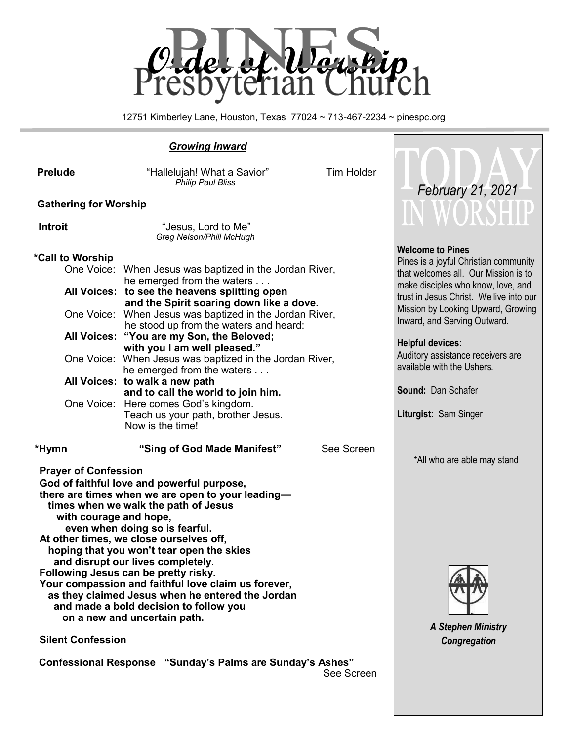

12751 Kimberley Lane, Houston, Texas 77024 ~ 713-467-2234 ~ pinespc.org

### *Growing Inward* **Prelude** *m Prelude**m Prelude**m Prelude**m Preluder Preluder Preduced <b>Preduce <i>Preluder Preduced <b>Preduce Preduce Preduced Preduced Preduced Preduced Preduced Preduced Philip Paul Bliss* **Gathering for Worship Introit** "Jesus, Lord to Me" *Greg Nelson/Phill McHugh*  **\*Call to Worship**  One Voice: When Jesus was baptized in the Jordan River, he emerged from the waters . . . **All Voices: to see the heavens splitting open and the Spirit soaring down like a dove.**  One Voice: When Jesus was baptized in the Jordan River, he stood up from the waters and heard: **All Voices: "You are my Son, the Beloved; with you I am well pleased."**  One Voice: When Jesus was baptized in the Jordan River, he emerged from the waters . . . **All Voices: to walk a new path and to call the world to join him.**  One Voice: Here comes God's kingdom. Teach us your path, brother Jesus. Now is the time!  **\*Hymn "Sing of God Made Manifest"** See Screen **Prayer of Confession God of faithful love and powerful purpose, there are times when we are open to your leading times when we walk the path of Jesus with courage and hope, even when doing so is fearful. At other times, we close ourselves off, hoping that you won't tear open the skies and disrupt our lives completely. Following Jesus can be pretty risky. Your compassion and faithful love claim us forever, as they claimed Jesus when he entered the Jordan and made a bold decision to follow you Welcome to Pines** Pines is a joyful Christian community that welcomes all. Our Mission is to make disciples who know, love, and trust in Jesus Christ. We live into our Mission by Looking Upward, Growing Inward, and Serving Outward. **Helpful devices:** Auditory assistance receivers are available with the Ushers. **Sound:** Dan Schafer **Liturgist:** Sam Singer \*All who are able may stand  *February 21, 2021*

*A Stephen Ministry Congregation*

 **Confessional Response "Sunday's Palms are Sunday's Ashes"** See Screen

 **on a new and uncertain path.** 

 **Silent Confession**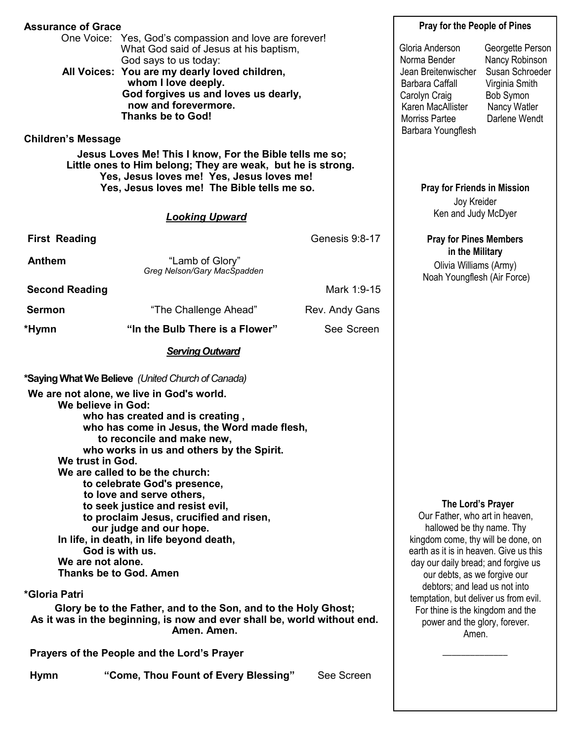| <b>Assurance of Grace</b>                                                                                                                                                                                                                                                            |                                                                                                                                                                                                                                                                                                                                                                                                 |                | <b>Pray for the People of Pines</b>                                                                                                                                                                                                                                                                                                                                                             |                                                                                                                       |  |
|--------------------------------------------------------------------------------------------------------------------------------------------------------------------------------------------------------------------------------------------------------------------------------------|-------------------------------------------------------------------------------------------------------------------------------------------------------------------------------------------------------------------------------------------------------------------------------------------------------------------------------------------------------------------------------------------------|----------------|-------------------------------------------------------------------------------------------------------------------------------------------------------------------------------------------------------------------------------------------------------------------------------------------------------------------------------------------------------------------------------------------------|-----------------------------------------------------------------------------------------------------------------------|--|
| <b>Children's Message</b>                                                                                                                                                                                                                                                            | One Voice: Yes, God's compassion and love are forever!<br>What God said of Jesus at his baptism,<br>God says to us today:<br>All Voices: You are my dearly loved children,<br>whom I love deeply.<br>God forgives us and loves us dearly,<br>now and forevermore.<br><b>Thanks be to God!</b>                                                                                                   |                | Gloria Anderson<br>Norma Bender<br>Jean Breitenwischer<br><b>Barbara Caffall</b><br>Carolyn Craig<br>Karen MacAllister<br>Morriss Partee<br>Barbara Youngflesh                                                                                                                                                                                                                                  | Georgette Person<br>Nancy Robinson<br>Susan Schroeder<br>Virginia Smith<br>Bob Symon<br>Nancy Watler<br>Darlene Wendt |  |
|                                                                                                                                                                                                                                                                                      | Jesus Loves Me! This I know, For the Bible tells me so;                                                                                                                                                                                                                                                                                                                                         |                |                                                                                                                                                                                                                                                                                                                                                                                                 |                                                                                                                       |  |
| Little ones to Him belong; They are weak, but he is strong.<br>Yes, Jesus loves me! Yes, Jesus loves me!<br>Yes, Jesus loves me! The Bible tells me so.                                                                                                                              |                                                                                                                                                                                                                                                                                                                                                                                                 |                | <b>Pray for Friends in Mission</b><br>Joy Kreider                                                                                                                                                                                                                                                                                                                                               |                                                                                                                       |  |
|                                                                                                                                                                                                                                                                                      | <b>Looking Upward</b>                                                                                                                                                                                                                                                                                                                                                                           |                | Ken and Judy McDyer                                                                                                                                                                                                                                                                                                                                                                             |                                                                                                                       |  |
| <b>First Reading</b>                                                                                                                                                                                                                                                                 |                                                                                                                                                                                                                                                                                                                                                                                                 | Genesis 9:8-17 | <b>Pray for Pines Members</b><br>in the Military<br>Olivia Williams (Army)<br>Noah Youngflesh (Air Force)                                                                                                                                                                                                                                                                                       |                                                                                                                       |  |
| <b>Anthem</b>                                                                                                                                                                                                                                                                        | "Lamb of Glory"<br>Greg Nelson/Gary MacSpadden                                                                                                                                                                                                                                                                                                                                                  |                |                                                                                                                                                                                                                                                                                                                                                                                                 |                                                                                                                       |  |
| <b>Second Reading</b>                                                                                                                                                                                                                                                                |                                                                                                                                                                                                                                                                                                                                                                                                 | Mark 1:9-15    |                                                                                                                                                                                                                                                                                                                                                                                                 |                                                                                                                       |  |
| <b>Sermon</b>                                                                                                                                                                                                                                                                        | "The Challenge Ahead"                                                                                                                                                                                                                                                                                                                                                                           | Rev. Andy Gans |                                                                                                                                                                                                                                                                                                                                                                                                 |                                                                                                                       |  |
| *Hymn                                                                                                                                                                                                                                                                                | "In the Bulb There is a Flower"                                                                                                                                                                                                                                                                                                                                                                 | See Screen     |                                                                                                                                                                                                                                                                                                                                                                                                 |                                                                                                                       |  |
|                                                                                                                                                                                                                                                                                      | <b>Serving Outward</b>                                                                                                                                                                                                                                                                                                                                                                          |                |                                                                                                                                                                                                                                                                                                                                                                                                 |                                                                                                                       |  |
| *Saying What We Believe (United Church of Canada)                                                                                                                                                                                                                                    |                                                                                                                                                                                                                                                                                                                                                                                                 |                |                                                                                                                                                                                                                                                                                                                                                                                                 |                                                                                                                       |  |
| We are not alone, we live in God's world.<br>We believe in God:<br>who has created and is creating,<br>who has come in Jesus, the Word made flesh,<br>to reconcile and make new,<br>who works in us and others by the Spirit.<br>We trust in God.<br>We are called to be the church: |                                                                                                                                                                                                                                                                                                                                                                                                 |                |                                                                                                                                                                                                                                                                                                                                                                                                 |                                                                                                                       |  |
| We are not alone.<br><b>Thanks be to God. Amen</b><br><i><b>*Gloria Patri</b></i>                                                                                                                                                                                                    | to celebrate God's presence,<br>to love and serve others,<br>to seek justice and resist evil,<br>to proclaim Jesus, crucified and risen,<br>our judge and our hope.<br>In life, in death, in life beyond death,<br>God is with us.<br>Glory be to the Father, and to the Son, and to the Holy Ghost;<br>As it was in the beginning, is now and ever shall be, world without end.<br>Amen. Amen. |                | The Lord's Prayer<br>Our Father, who art in heaven,<br>hallowed be thy name. Thy<br>kingdom come, thy will be done, on<br>earth as it is in heaven. Give us this<br>day our daily bread; and forgive us<br>our debts, as we forgive our<br>debtors; and lead us not into<br>temptation, but deliver us from evil.<br>For thine is the kingdom and the<br>power and the glory, forever.<br>Amen. |                                                                                                                       |  |

 $\overline{\phantom{a}}$  ,  $\overline{\phantom{a}}$  ,  $\overline{\phantom{a}}$  ,  $\overline{\phantom{a}}$  ,  $\overline{\phantom{a}}$  ,  $\overline{\phantom{a}}$  ,  $\overline{\phantom{a}}$  ,  $\overline{\phantom{a}}$  ,  $\overline{\phantom{a}}$  ,  $\overline{\phantom{a}}$  ,  $\overline{\phantom{a}}$  ,  $\overline{\phantom{a}}$  ,  $\overline{\phantom{a}}$  ,  $\overline{\phantom{a}}$  ,  $\overline{\phantom{a}}$  ,  $\overline{\phantom{a}}$ 

 **Prayers of the People and the Lord's Prayer** 

 **Hymn "Come, Thou Fount of Every Blessing"** See Screen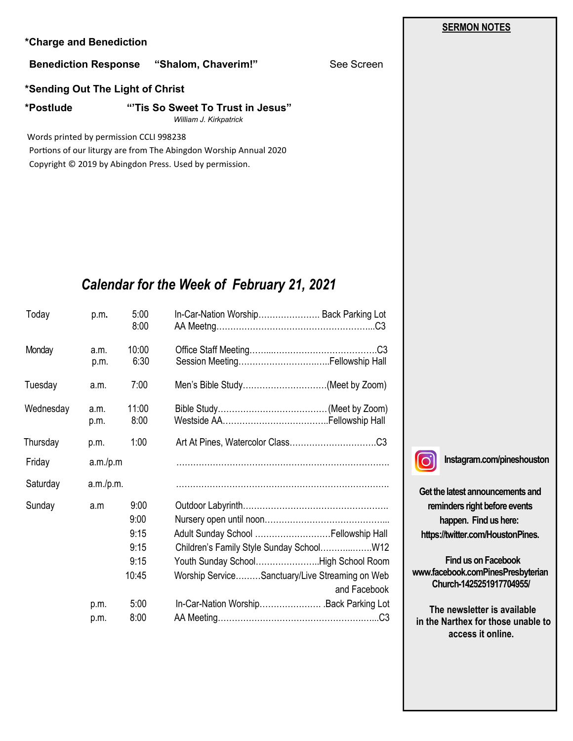### **\*Charge and Benediction**

### **Benediction Response "Shalom, Chaverim!"** See Screen

**\*Sending Out The Light of Christ**

**\*Postlude "'Tis So Sweet To Trust in Jesus"** *William J. Kirkpatrick*

Words printed by permission CCLI 998238

 Portions of our liturgy are from The Abingdon Worship Annual 2020 Copyright © 2019 by Abingdon Press. Used by permission.

# *Calendar for the Week of February 21, 2021*

| Today     | p.m.         | 5:00<br>8:00                                  | In-Car-Nation Worship Back Parking Lot                                                                                                        |
|-----------|--------------|-----------------------------------------------|-----------------------------------------------------------------------------------------------------------------------------------------------|
| Monday    | a.m.<br>p.m. | 10:00<br>6:30                                 |                                                                                                                                               |
| Tuesday   | a.m.         | 7:00                                          | Men's Bible Study(Meet by Zoom)                                                                                                               |
| Wednesday | a.m.<br>p.m. | 11:00<br>8:00                                 |                                                                                                                                               |
| Thursday  | p.m.         | 1:00                                          |                                                                                                                                               |
| Friday    | a.m./p.m     |                                               |                                                                                                                                               |
| Saturday  | a.m./p.m.    |                                               |                                                                                                                                               |
| Sunday    | a.m          | 9:00<br>9:00<br>9:15<br>9:15<br>9:15<br>10:45 | Adult Sunday School  Fellowship Hall<br>Youth Sunday SchoolHigh School Room<br>Worship ServiceSanctuary/Live Streaming on Web<br>and Facebook |
|           | p.m.<br>p.m. | 5:00<br>8:00                                  | In-Car-Nation WorshipBack Parking Lot                                                                                                         |



**Instagram.com/pineshouston**

**Get the latest announcements and reminders right before events happen. Find us here: https://twitter.com/HoustonPines.** 

 **Find us on Facebook www.facebook.comPinesPresbyterian Church-1425251917704955/**

 **The newsletter is available in the Narthex for those unable to access it online.**

### **SERMON NOTES**